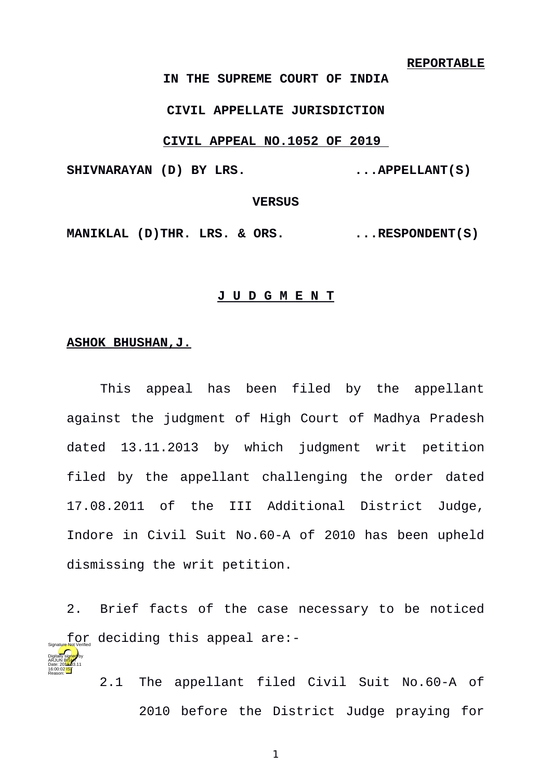### **REPORTABLE**

**IN THE SUPREME COURT OF INDIA**

## **CIVIL APPELLATE JURISDICTION**

## **CIVIL APPEAL NO.1052 OF 2019**

SHIVNARAYAN (D) BY LRS. ... APPELLANT(S)

# **VERSUS**

MANIKLAL (D)THR. LRS. & ORS. ...RESPONDENT(S)

#### **J U D G M E N T**

## **ASHOK BHUSHAN,J.**

Digitally signed by arjun B<mark>ish</mark>t Date: 2010.03.11 16:00:02 IST Reason:

This appeal has been filed by the appellant against the judgment of High Court of Madhya Pradesh dated 13.11.2013 by which judgment writ petition filed by the appellant challenging the order dated 17.08.2011 of the III Additional District Judge, Indore in Civil Suit No.60-A of 2010 has been upheld dismissing the writ petition.

2. Brief facts of the case necessary to be noticed  $\int\limits_{\mathbb{S}_{\mathsf{ignaluer}}}\mathsf{Mor}_{\mathsf{Norm}}$  deciding this appeal are:-

> 2.1 The appellant filed Civil Suit No.60-A of 2010 before the District Judge praying for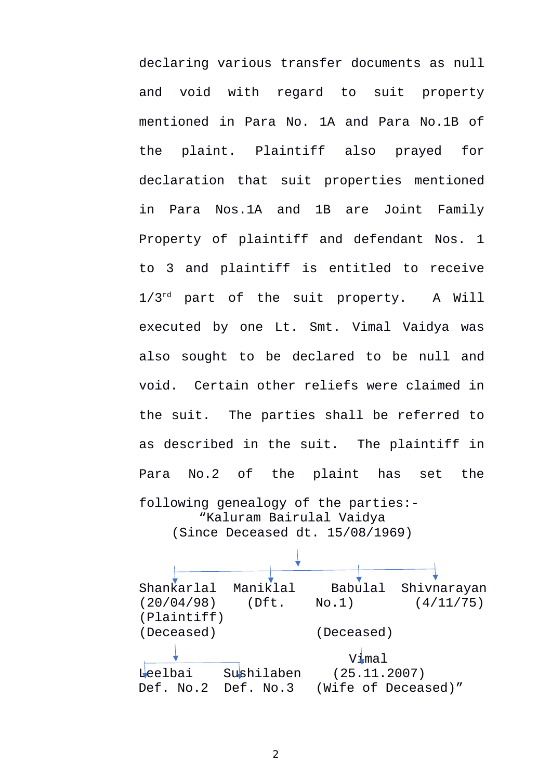declaring various transfer documents as null and void with regard to suit property mentioned in Para No. 1A and Para No.1B of the plaint. Plaintiff also prayed for declaration that suit properties mentioned in Para Nos.1A and 1B are Joint Family Property of plaintiff and defendant Nos. 1 to 3 and plaintiff is entitled to receive 1/3<sup>rd</sup> part of the suit property. A Will executed by one Lt. Smt. Vimal Vaidya was also sought to be declared to be null and void. Certain other reliefs were claimed in the suit. The parties shall be referred to as described in the suit. The plaintiff in Para No.2 of the plaint has set the following genealogy of the parties:-

"Kaluram Bairulal Vaidya (Since Deceased dt. 15/08/1969)

Shankarlal Maniklal Babulal Shivnarayan (20/04/98) (Dft. No.1) (4/11/75) (Plaintiff) (Deceased) (Deceased) Vimal Leelbai Sushilaben (25.11.2007) Def. No.2 Def. No.3 (Wife of Deceased)"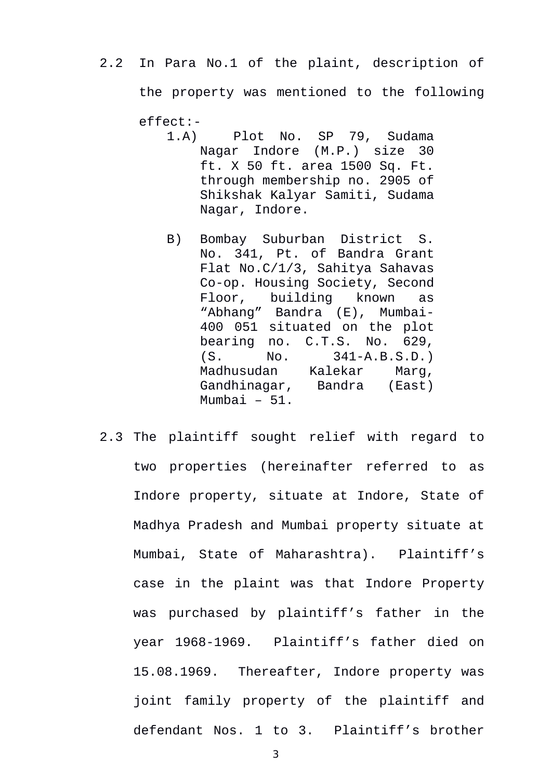- 2.2 In Para No.1 of the plaint, description of the property was mentioned to the following effect:-
	- 1.A) Plot No. SP 79, Sudama Nagar Indore (M.P.) size 30 ft. X 50 ft. area 1500 Sq. Ft. through membership no. 2905 of Shikshak Kalyar Samiti, Sudama Nagar, Indore.
	- B) Bombay Suburban District S. No. 341, Pt. of Bandra Grant Flat No.C/1/3, Sahitya Sahavas Co-op. Housing Society, Second Floor, building known as "Abhang" Bandra (E), Mumbai-400 051 situated on the plot bearing no. C.T.S. No. 629, (S. No. 341-A.B.S.D.) Madhusudan Kalekar Marg, Gandhinagar, Bandra (East) Mumbai – 51.
- 2.3 The plaintiff sought relief with regard to two properties (hereinafter referred to as Indore property, situate at Indore, State of Madhya Pradesh and Mumbai property situate at Mumbai, State of Maharashtra). Plaintiff's case in the plaint was that Indore Property was purchased by plaintiff's father in the year 1968-1969. Plaintiff's father died on 15.08.1969. Thereafter, Indore property was joint family property of the plaintiff and defendant Nos. 1 to 3. Plaintiff's brother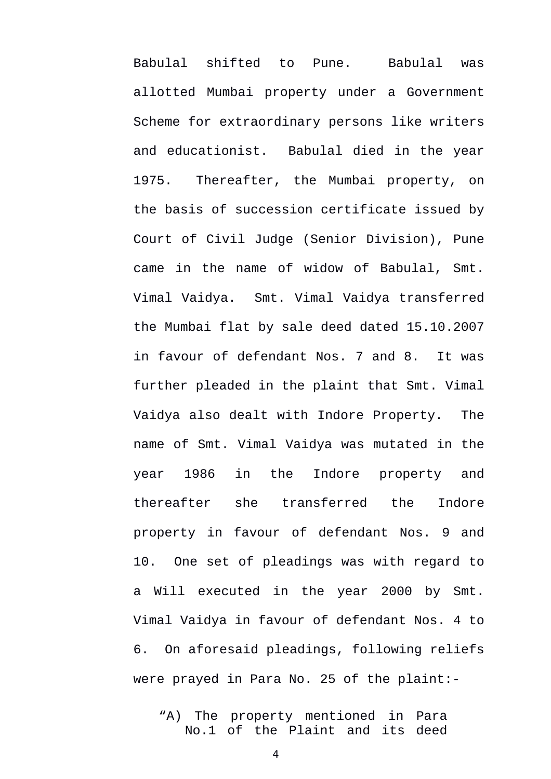Babulal shifted to Pune. Babulal was allotted Mumbai property under a Government Scheme for extraordinary persons like writers and educationist. Babulal died in the year 1975. Thereafter, the Mumbai property, on the basis of succession certificate issued by Court of Civil Judge (Senior Division), Pune came in the name of widow of Babulal, Smt. Vimal Vaidya. Smt. Vimal Vaidya transferred the Mumbai flat by sale deed dated 15.10.2007 in favour of defendant Nos. 7 and 8. It was further pleaded in the plaint that Smt. Vimal Vaidya also dealt with Indore Property. The name of Smt. Vimal Vaidya was mutated in the year 1986 in the Indore property and thereafter she transferred the Indore property in favour of defendant Nos. 9 and 10. One set of pleadings was with regard to a Will executed in the year 2000 by Smt. Vimal Vaidya in favour of defendant Nos. 4 to 6. On aforesaid pleadings, following reliefs were prayed in Para No. 25 of the plaint:-

"A) The property mentioned in Para No.1 of the Plaint and its deed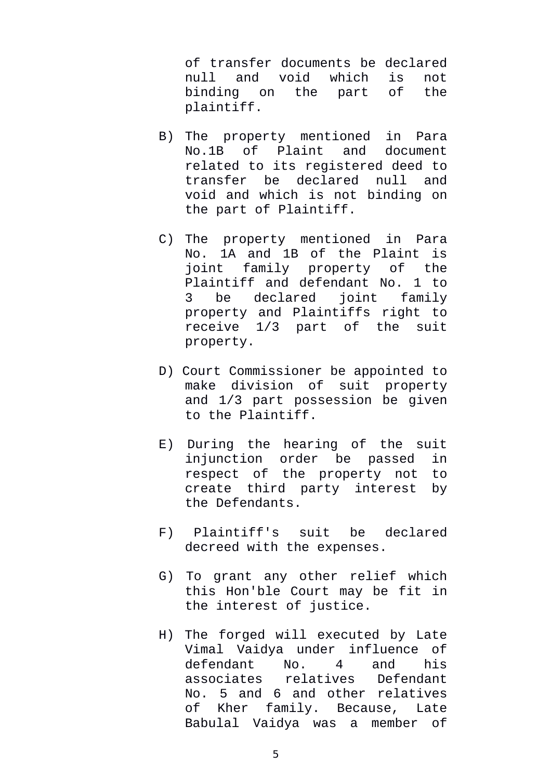of transfer documents be declared null and void which is not binding on the part of the plaintiff.

- B) The property mentioned in Para No.1B of Plaint and document related to its registered deed to transfer be declared null and void and which is not binding on the part of Plaintiff.
- C) The property mentioned in Para No. 1A and 1B of the Plaint is joint family property of the Plaintiff and defendant No. 1 to 3 be declared joint family property and Plaintiffs right to receive 1/3 part of the suit property.
- D) Court Commissioner be appointed to make division of suit property and 1/3 part possession be given to the Plaintiff.
- E) During the hearing of the suit injunction order be passed in respect of the property not to create third party interest by the Defendants.
- F) Plaintiff's suit be declared decreed with the expenses.
- G) To grant any other relief which this Hon'ble Court may be fit in the interest of justice.
- H) The forged will executed by Late Vimal Vaidya under influence of defendant No. 4 and his associates relatives Defendant No. 5 and 6 and other relatives of Kher family. Because, Late Babulal Vaidya was a member of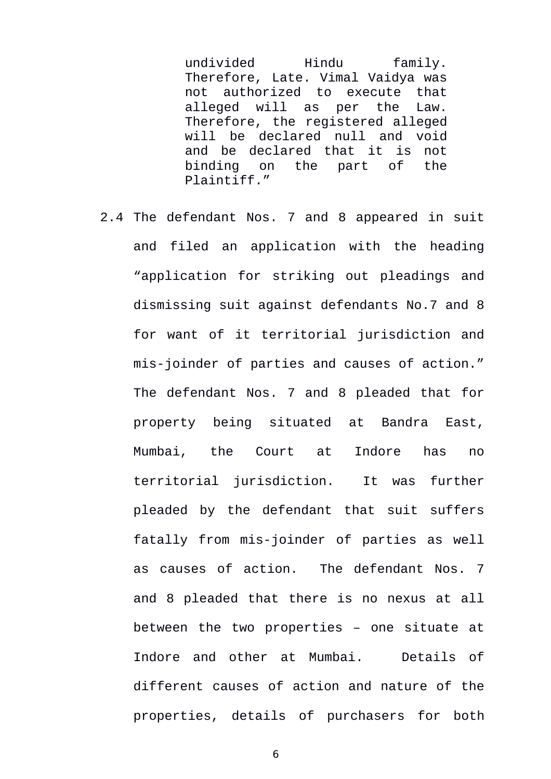undivided Hindu family. Therefore, Late. Vimal Vaidya was not authorized to execute that alleged will as per the Law. Therefore, the registered alleged will be declared null and void and be declared that it is not<br>binding on the part of the binding on the part of the Plaintiff."

2.4 The defendant Nos. 7 and 8 appeared in suit and filed an application with the heading "application for striking out pleadings and dismissing suit against defendants No.7 and 8 for want of it territorial jurisdiction and mis-joinder of parties and causes of action." The defendant Nos. 7 and 8 pleaded that for property being situated at Bandra East, Mumbai, the Court at Indore has no territorial jurisdiction. It was further pleaded by the defendant that suit suffers fatally from mis-joinder of parties as well as causes of action. The defendant Nos. 7 and 8 pleaded that there is no nexus at all between the two properties – one situate at Indore and other at Mumbai. Details of different causes of action and nature of the properties, details of purchasers for both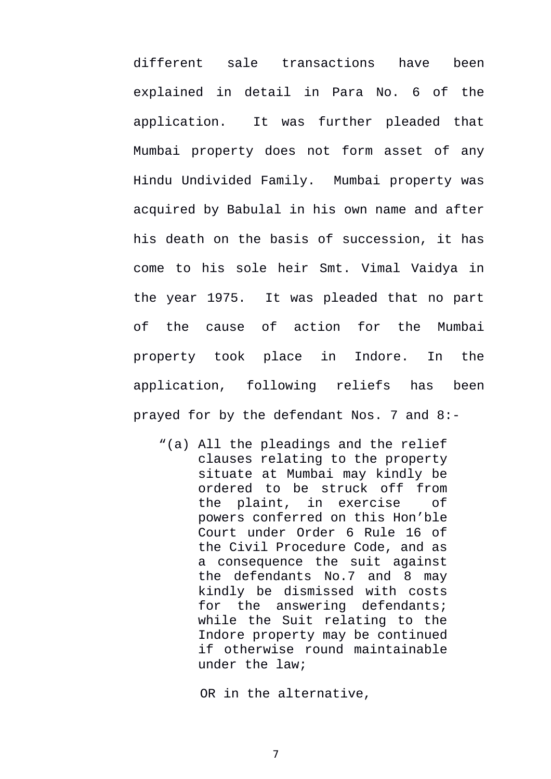different sale transactions have been explained in detail in Para No. 6 of the application. It was further pleaded that Mumbai property does not form asset of any Hindu Undivided Family. Mumbai property was acquired by Babulal in his own name and after his death on the basis of succession, it has come to his sole heir Smt. Vimal Vaidya in the year 1975. It was pleaded that no part of the cause of action for the Mumbai property took place in Indore. In the application, following reliefs has been prayed for by the defendant Nos. 7 and 8:-

"(a) All the pleadings and the relief clauses relating to the property situate at Mumbai may kindly be ordered to be struck off from the plaint, in exercise of powers conferred on this Hon'ble Court under Order 6 Rule 16 of the Civil Procedure Code, and as a consequence the suit against the defendants No.7 and 8 may kindly be dismissed with costs for the answering defendants; while the Suit relating to the Indore property may be continued if otherwise round maintainable under the law;

OR in the alternative,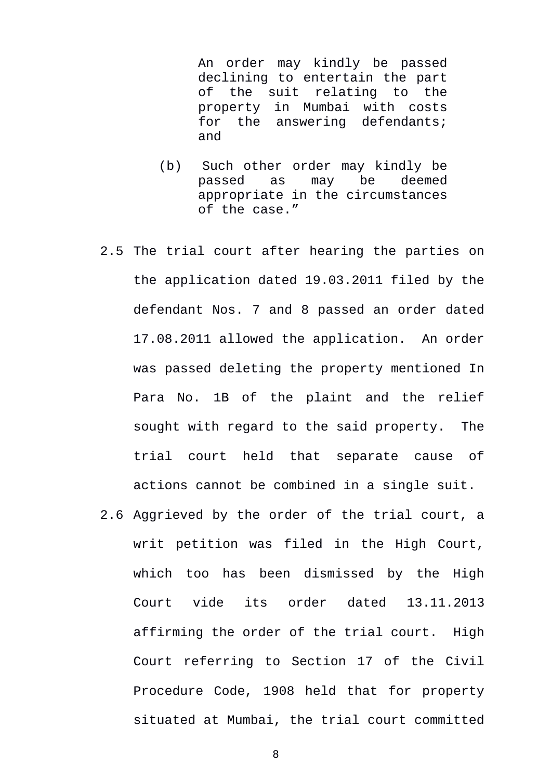An order may kindly be passed declining to entertain the part of the suit relating to the property in Mumbai with costs for the answering defendants; and

- (b) Such other order may kindly be passed as may be deemed appropriate in the circumstances of the case."
- 2.5 The trial court after hearing the parties on the application dated 19.03.2011 filed by the defendant Nos. 7 and 8 passed an order dated 17.08.2011 allowed the application. An order was passed deleting the property mentioned In Para No. 1B of the plaint and the relief sought with regard to the said property. The trial court held that separate cause of actions cannot be combined in a single suit.
- 2.6 Aggrieved by the order of the trial court, a writ petition was filed in the High Court, which too has been dismissed by the High Court vide its order dated 13.11.2013 affirming the order of the trial court. High Court referring to Section 17 of the Civil Procedure Code, 1908 held that for property situated at Mumbai, the trial court committed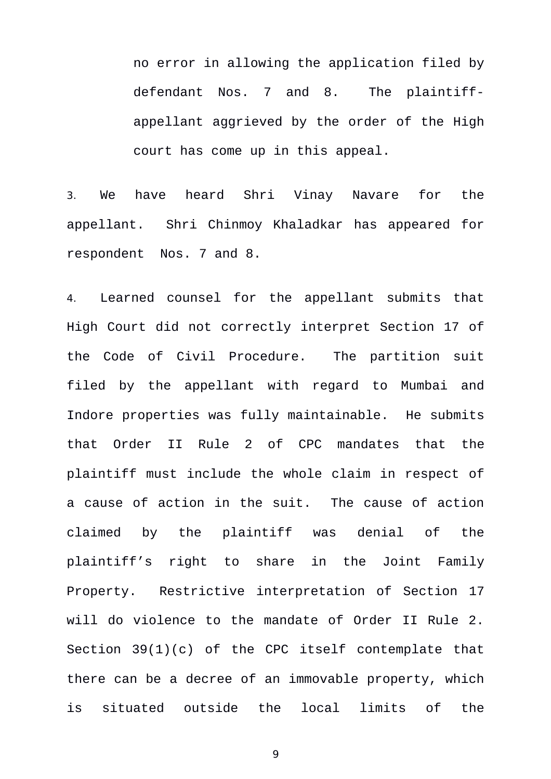no error in allowing the application filed by defendant Nos. 7 and 8. The plaintiffappellant aggrieved by the order of the High court has come up in this appeal.

3. We have heard Shri Vinay Navare for the appellant. Shri Chinmoy Khaladkar has appeared for respondent Nos. 7 and 8.

4. Learned counsel for the appellant submits that High Court did not correctly interpret Section 17 of the Code of Civil Procedure. The partition suit filed by the appellant with regard to Mumbai and Indore properties was fully maintainable. He submits that Order II Rule 2 of CPC mandates that the plaintiff must include the whole claim in respect of a cause of action in the suit. The cause of action claimed by the plaintiff was denial of the plaintiff's right to share in the Joint Family Property. Restrictive interpretation of Section 17 will do violence to the mandate of Order II Rule 2. Section 39(1)(c) of the CPC itself contemplate that there can be a decree of an immovable property, which is situated outside the local limits of the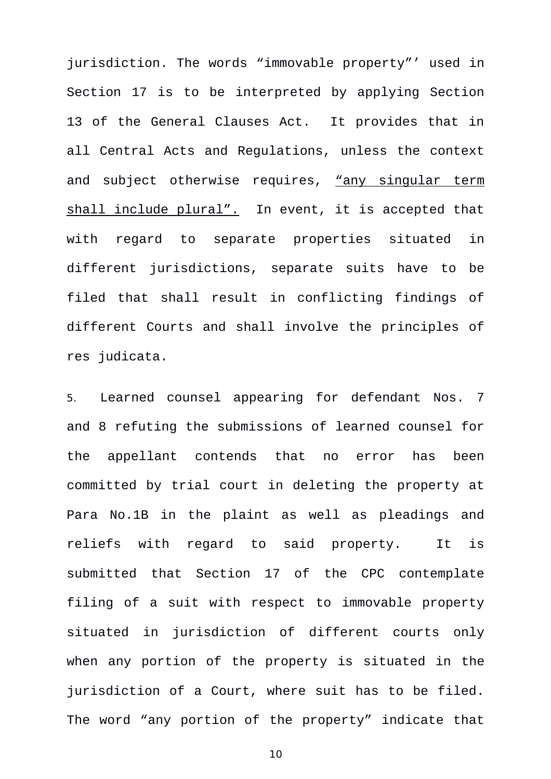jurisdiction. The words "immovable property"' used in Section 17 is to be interpreted by applying Section 13 of the General Clauses Act. It provides that in all Central Acts and Regulations, unless the context and subject otherwise requires, "any singular term shall include plural". In event, it is accepted that with regard to separate properties situated in different jurisdictions, separate suits have to be filed that shall result in conflicting findings of different Courts and shall involve the principles of res judicata.

5. Learned counsel appearing for defendant Nos. 7 and 8 refuting the submissions of learned counsel for the appellant contends that no error has been committed by trial court in deleting the property at Para No.1B in the plaint as well as pleadings and reliefs with regard to said property. It is submitted that Section 17 of the CPC contemplate filing of a suit with respect to immovable property situated in jurisdiction of different courts only when any portion of the property is situated in the jurisdiction of a Court, where suit has to be filed. The word "any portion of the property" indicate that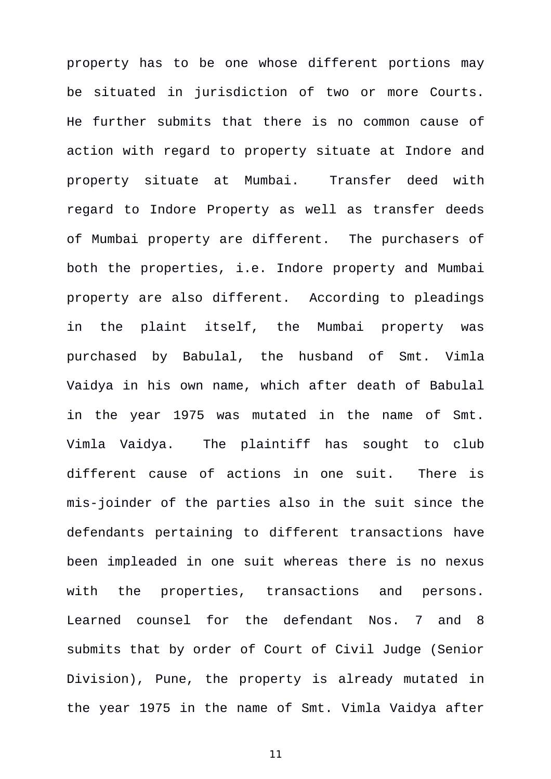property has to be one whose different portions may be situated in jurisdiction of two or more Courts. He further submits that there is no common cause of action with regard to property situate at Indore and property situate at Mumbai. Transfer deed with regard to Indore Property as well as transfer deeds of Mumbai property are different. The purchasers of both the properties, i.e. Indore property and Mumbai property are also different. According to pleadings in the plaint itself, the Mumbai property was purchased by Babulal, the husband of Smt. Vimla Vaidya in his own name, which after death of Babulal in the year 1975 was mutated in the name of Smt. Vimla Vaidya. The plaintiff has sought to club different cause of actions in one suit. There is mis-joinder of the parties also in the suit since the defendants pertaining to different transactions have been impleaded in one suit whereas there is no nexus with the properties, transactions and persons. Learned counsel for the defendant Nos. 7 and 8 submits that by order of Court of Civil Judge (Senior Division), Pune, the property is already mutated in the year 1975 in the name of Smt. Vimla Vaidya after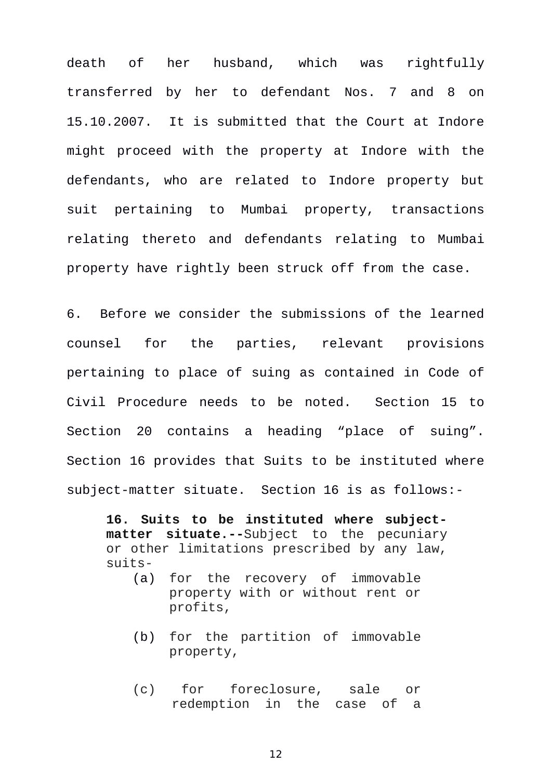death of her husband, which was rightfully transferred by her to defendant Nos. 7 and 8 on 15.10.2007. It is submitted that the Court at Indore might proceed with the property at Indore with the defendants, who are related to Indore property but suit pertaining to Mumbai property, transactions relating thereto and defendants relating to Mumbai property have rightly been struck off from the case.

6. Before we consider the submissions of the learned counsel for the parties, relevant provisions pertaining to place of suing as contained in Code of Civil Procedure needs to be noted. Section 15 to Section 20 contains a heading "place of suing". Section 16 provides that Suits to be instituted where subject-matter situate. Section 16 is as follows:-

**16. Suits to be instituted where subjectmatter situate.--**Subject to the pecuniary or other limitations prescribed by any law, suits-

- (a) for the recovery of immovable property with or without rent or profits,
- (b) for the partition of immovable property,
- (c) for foreclosure, sale or redemption in the case of a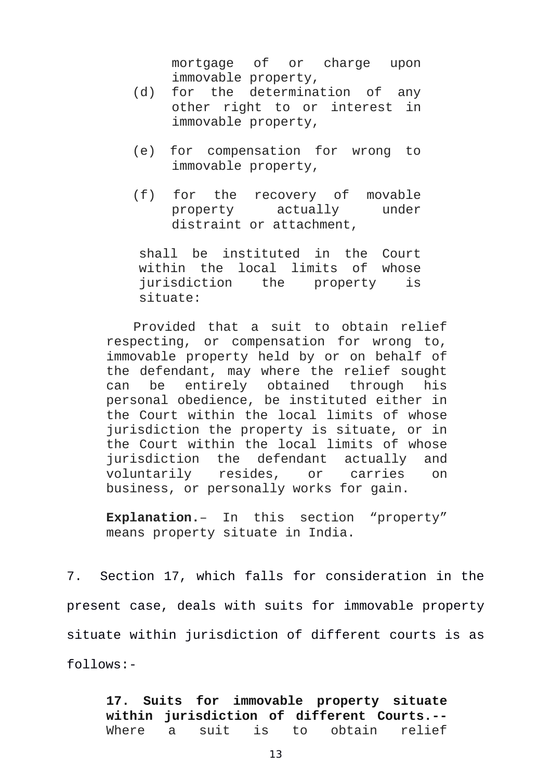mortgage of or charge upon immovable property,

- (d) for the determination of any other right to or interest in immovable property,
- (e) for compensation for wrong to immovable property,
- (f) for the recovery of movable property actually under distraint or attachment,

shall be instituted in the Court within the local limits of whose jurisdiction the property is situate:

Provided that a suit to obtain relief respecting, or compensation for wrong to, immovable property held by or on behalf of the defendant, may where the relief sought can be entirely obtained through his personal obedience, be instituted either in the Court within the local limits of whose jurisdiction the property is situate, or in the Court within the local limits of whose jurisdiction the defendant actually and voluntarily resides, or carries on business, or personally works for gain.

**Explanation.**– In this section "property" means property situate in India.

7. Section 17, which falls for consideration in the present case, deals with suits for immovable property situate within jurisdiction of different courts is as follows:-

**17. Suits for immovable property situate within jurisdiction of different Courts.--** Where a suit is to obtain relief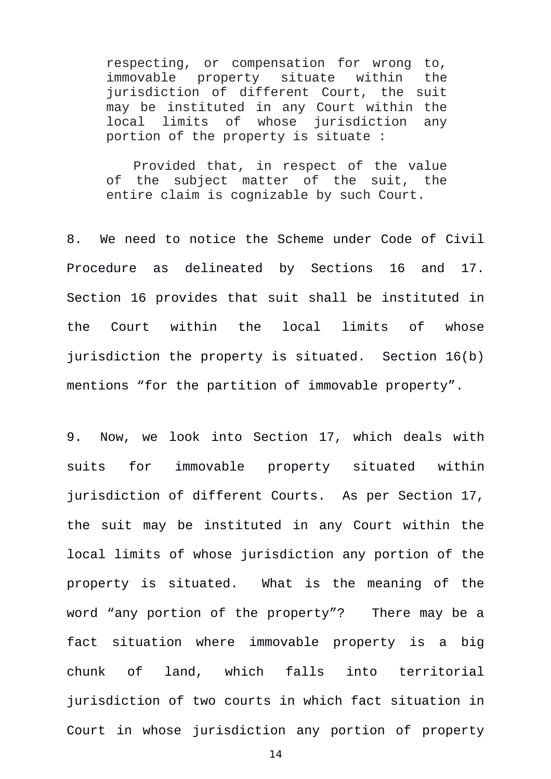respecting, or compensation for wrong to, immovable property situate within the jurisdiction of different Court, the suit may be instituted in any Court within the local limits of whose jurisdiction any portion of the property is situate :

Provided that, in respect of the value of the subject matter of the suit, the entire claim is cognizable by such Court.

8. We need to notice the Scheme under Code of Civil Procedure as delineated by Sections 16 and 17. Section 16 provides that suit shall be instituted in the Court within the local limits of whose jurisdiction the property is situated. Section 16(b) mentions "for the partition of immovable property".

9. Now, we look into Section 17, which deals with suits for immovable property situated within jurisdiction of different Courts. As per Section 17, the suit may be instituted in any Court within the local limits of whose jurisdiction any portion of the property is situated. What is the meaning of the word "any portion of the property"? There may be a fact situation where immovable property is a big chunk of land, which falls into territorial jurisdiction of two courts in which fact situation in Court in whose jurisdiction any portion of property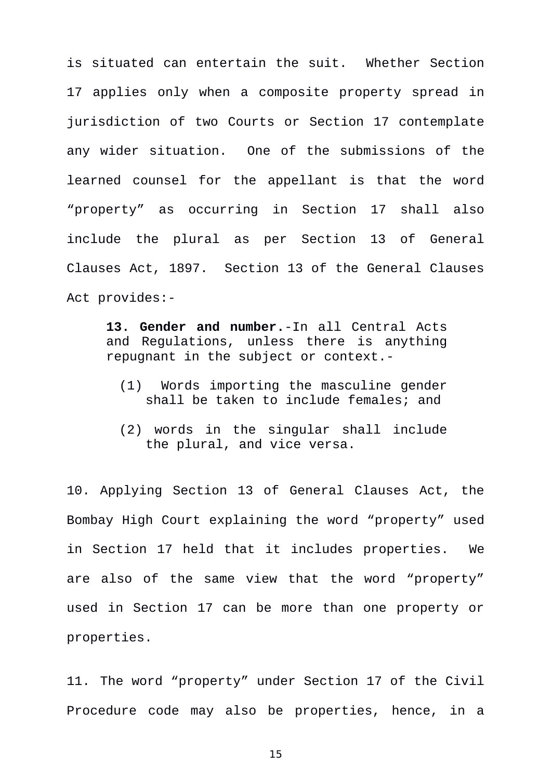is situated can entertain the suit. Whether Section 17 applies only when a composite property spread in jurisdiction of two Courts or Section 17 contemplate any wider situation. One of the submissions of the learned counsel for the appellant is that the word "property" as occurring in Section 17 shall also include the plural as per Section 13 of General Clauses Act, 1897. Section 13 of the General Clauses Act provides:-

**13. Gender and number.**-In all Central Acts and Regulations, unless there is anything repugnant in the subject or context.-

- (1) Words importing the masculine gender shall be taken to include females; and
- (2) words in the singular shall include the plural, and vice versa.

10. Applying Section 13 of General Clauses Act, the Bombay High Court explaining the word "property" used in Section 17 held that it includes properties. We are also of the same view that the word "property" used in Section 17 can be more than one property or properties.

11. The word "property" under Section 17 of the Civil Procedure code may also be properties, hence, in a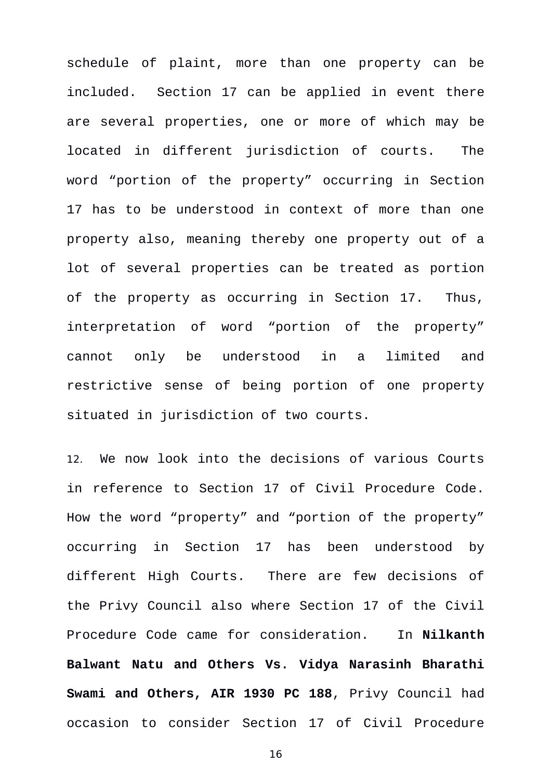schedule of plaint, more than one property can be included. Section 17 can be applied in event there are several properties, one or more of which may be located in different jurisdiction of courts. The word "portion of the property" occurring in Section 17 has to be understood in context of more than one property also, meaning thereby one property out of a lot of several properties can be treated as portion of the property as occurring in Section 17. Thus, interpretation of word "portion of the property" cannot only be understood in a limited and restrictive sense of being portion of one property situated in jurisdiction of two courts.

12. We now look into the decisions of various Courts in reference to Section 17 of Civil Procedure Code. How the word "property" and "portion of the property" occurring in Section 17 has been understood by different High Courts. There are few decisions of the Privy Council also where Section 17 of the Civil Procedure Code came for consideration. In **Nilkanth Balwant Natu and Others Vs. Vidya Narasinh Bharathi Swami and Others, AIR 1930 PC 188**, Privy Council had occasion to consider Section 17 of Civil Procedure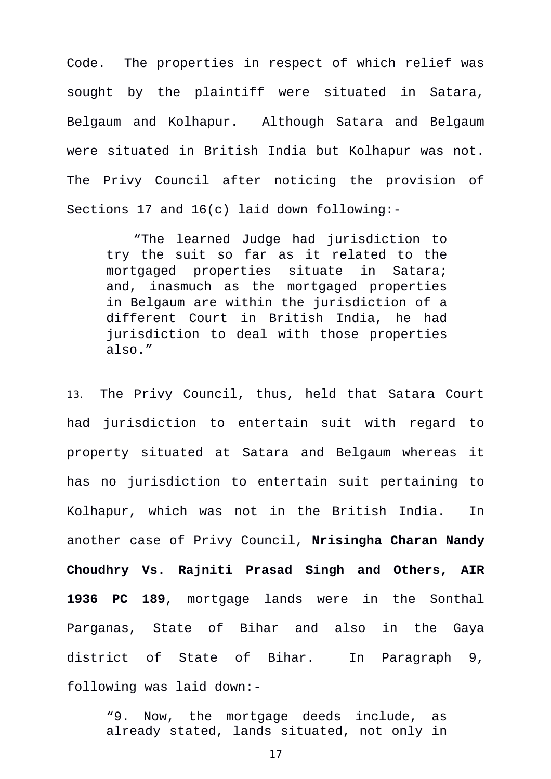Code. The properties in respect of which relief was sought by the plaintiff were situated in Satara, Belgaum and Kolhapur. Although Satara and Belgaum were situated in British India but Kolhapur was not. The Privy Council after noticing the provision of Sections 17 and 16(c) laid down following:-

"The learned Judge had jurisdiction to try the suit so far as it related to the mortgaged properties situate in Satara; and, inasmuch as the mortgaged properties in Belgaum are within the jurisdiction of a different Court in British India, he had jurisdiction to deal with those properties also."

13. The Privy Council, thus, held that Satara Court had jurisdiction to entertain suit with regard to property situated at Satara and Belgaum whereas it has no jurisdiction to entertain suit pertaining to Kolhapur, which was not in the British India. In another case of Privy Council, **Nrisingha Charan Nandy Choudhry Vs. Rajniti Prasad Singh and Others, AIR 1936 PC 189**, mortgage lands were in the Sonthal Parganas, State of Bihar and also in the Gaya district of State of Bihar. In Paragraph 9, following was laid down:-

"9. Now, the mortgage deeds include, as already stated, lands situated, not only in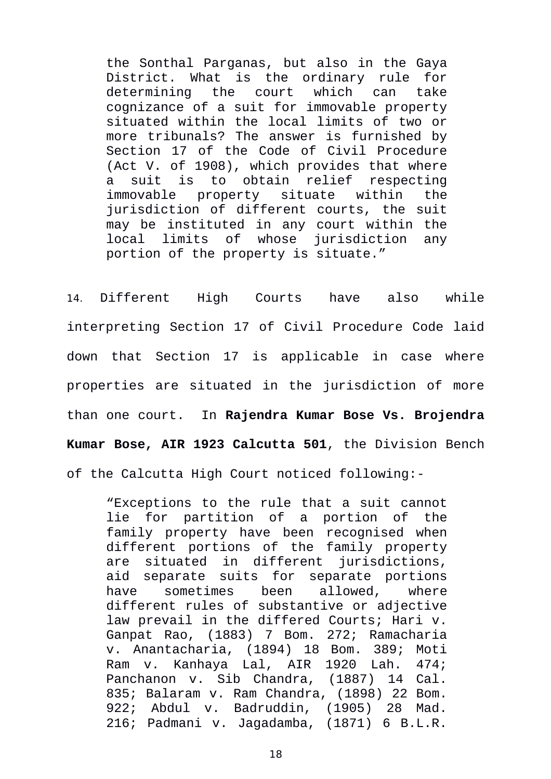the Sonthal Parganas, but also in the Gaya District. What is the ordinary rule for determining the court which can take cognizance of a suit for immovable property situated within the local limits of two or more tribunals? The answer is furnished by Section 17 of the Code of Civil Procedure (Act V. of 1908), which provides that where a suit is to obtain relief respecting immovable property situate within the jurisdiction of different courts, the suit may be instituted in any court within the local limits of whose jurisdiction any portion of the property is situate."

14. Different High Courts have also while interpreting Section 17 of Civil Procedure Code laid down that Section 17 is applicable in case where properties are situated in the jurisdiction of more than one court. In **Rajendra Kumar Bose Vs. Brojendra Kumar Bose, AIR 1923 Calcutta 501**, the Division Bench of the Calcutta High Court noticed following:-

"Exceptions to the rule that a suit cannot lie for partition of a portion of the family property have been recognised when different portions of the family property are situated in different jurisdictions, aid separate suits for separate portions have sometimes been allowed, where different rules of substantive or adjective law prevail in the differed Courts; Hari v. Ganpat Rao, (1883) 7 Bom. 272; Ramacharia v. Anantacharia, (1894) 18 Bom. 389; Moti Ram v. Kanhaya Lal, AIR 1920 Lah. 474; Panchanon v. Sib Chandra, (1887) 14 Cal. 835; Balaram v. Ram Chandra, (1898) 22 Bom. 922; Abdul v. Badruddin, (1905) 28 Mad. 216; Padmani v. Jagadamba, (1871) 6 B.L.R.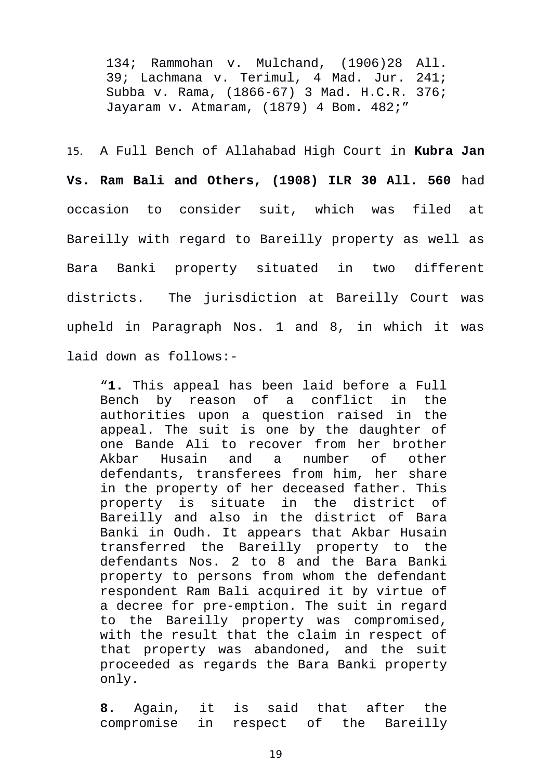134; Rammohan v. Mulchand, (1906)28 All. 39; Lachmana v. Terimul, 4 Mad. Jur. 241; Subba v. Rama, (1866-67) 3 Mad. H.C.R. 376; Jayaram v. Atmaram, (1879) 4 Bom. 482;"

15. A Full Bench of Allahabad High Court in **Kubra Jan Vs. Ram Bali and Others, (1908) ILR 30 All. 560** had occasion to consider suit, which was filed at Bareilly with regard to Bareilly property as well as Bara Banki property situated in two different districts. The jurisdiction at Bareilly Court was upheld in Paragraph Nos. 1 and 8, in which it was laid down as follows:-

"**1.** This appeal has been laid before a Full Bench by reason of a conflict in the authorities upon a question raised in the appeal. The suit is one by the daughter of one Bande Ali to recover from her brother Akbar Husain and a number of other defendants, transferees from him, her share in the property of her deceased father. This property is situate in the district of Bareilly and also in the district of Bara Banki in Oudh. It appears that Akbar Husain transferred the Bareilly property to the defendants Nos. 2 to 8 and the Bara Banki property to persons from whom the defendant respondent Ram Bali acquired it by virtue of a decree for pre-emption. The suit in regard to the Bareilly property was compromised, with the result that the claim in respect of that property was abandoned, and the suit proceeded as regards the Bara Banki property only.

**8.** Again, it is said that after the compromise in respect of the Bareilly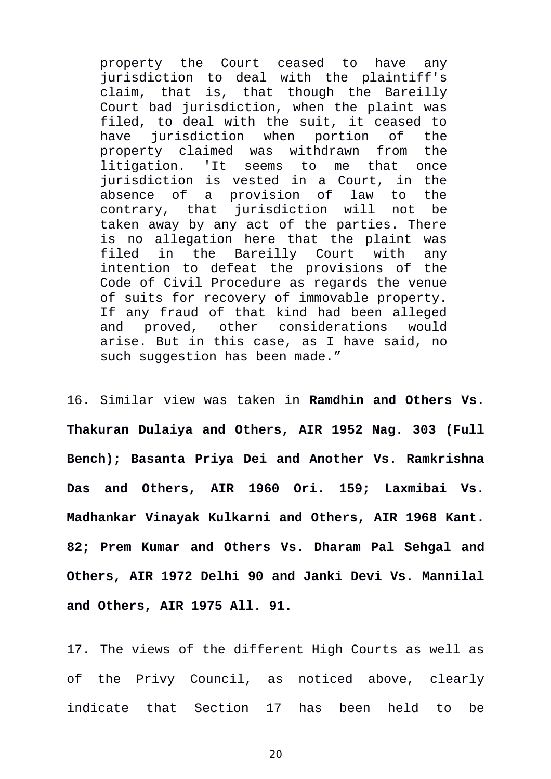property the Court ceased to have any jurisdiction to deal with the plaintiff's claim, that is, that though the Bareilly Court bad jurisdiction, when the plaint was filed, to deal with the suit, it ceased to have jurisdiction when portion of the property claimed was withdrawn from the litigation. 'It seems to me that once jurisdiction is vested in a Court, in the absence of a provision of law to the contrary, that jurisdiction will not be taken away by any act of the parties. There is no allegation here that the plaint was filed in the Bareilly Court with any intention to defeat the provisions of the Code of Civil Procedure as regards the venue of suits for recovery of immovable property. If any fraud of that kind had been alleged and proved, other considerations would arise. But in this case, as I have said, no such suggestion has been made."

16. Similar view was taken in **Ramdhin and Others Vs. Thakuran Dulaiya and Others, AIR 1952 Nag. 303 (Full Bench); Basanta Priya Dei and Another Vs. Ramkrishna Das and Others, AIR 1960 Ori. 159; Laxmibai Vs. Madhankar Vinayak Kulkarni and Others, AIR 1968 Kant. 82; Prem Kumar and Others Vs. Dharam Pal Sehgal and Others, AIR 1972 Delhi 90 and Janki Devi Vs. Mannilal and Others, AIR 1975 All. 91.** 

17. The views of the different High Courts as well as of the Privy Council, as noticed above, clearly indicate that Section 17 has been held to be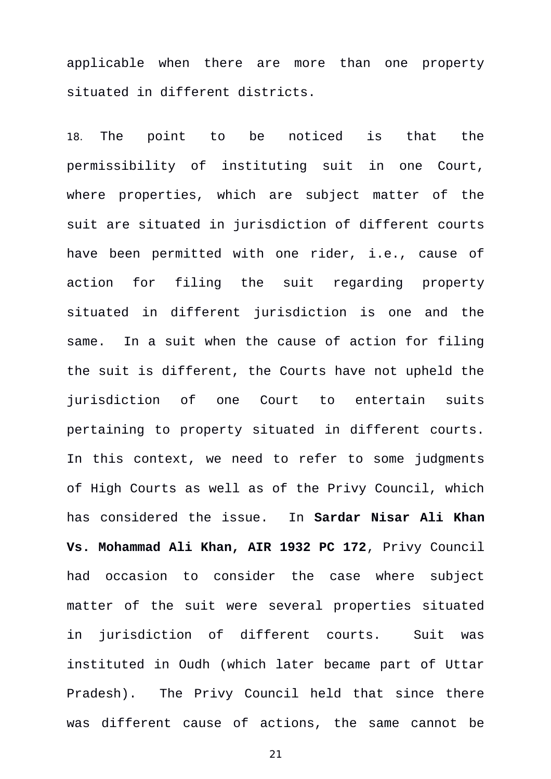applicable when there are more than one property situated in different districts.

18. The point to be noticed is that the permissibility of instituting suit in one Court, where properties, which are subject matter of the suit are situated in jurisdiction of different courts have been permitted with one rider, i.e., cause of action for filing the suit regarding property situated in different jurisdiction is one and the same. In a suit when the cause of action for filing the suit is different, the Courts have not upheld the jurisdiction of one Court to entertain suits pertaining to property situated in different courts. In this context, we need to refer to some judgments of High Courts as well as of the Privy Council, which has considered the issue. In **Sardar Nisar Ali Khan Vs. Mohammad Ali Khan, AIR 1932 PC 172**, Privy Council had occasion to consider the case where subject matter of the suit were several properties situated in jurisdiction of different courts. Suit was instituted in Oudh (which later became part of Uttar Pradesh). The Privy Council held that since there was different cause of actions, the same cannot be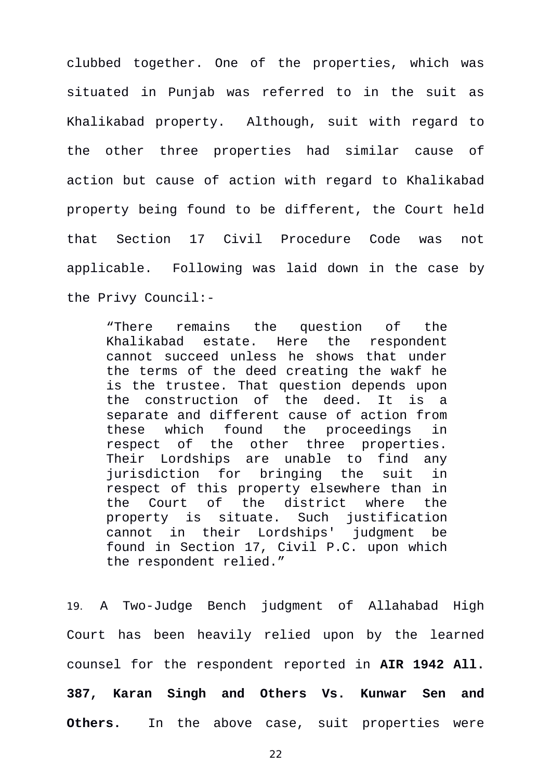clubbed together. One of the properties, which was situated in Punjab was referred to in the suit as Khalikabad property. Although, suit with regard to the other three properties had similar cause of action but cause of action with regard to Khalikabad property being found to be different, the Court held that Section 17 Civil Procedure Code was not applicable. Following was laid down in the case by the Privy Council:-

"There remains the question of the Khalikabad estate. Here the respondent cannot succeed unless he shows that under the terms of the deed creating the wakf he is the trustee. That question depends upon the construction of the deed. It is a separate and different cause of action from these which found the proceedings in respect of the other three properties. Their Lordships are unable to find any jurisdiction for bringing the suit in respect of this property elsewhere than in the Court of the district where the property is situate. Such justification cannot in their Lordships' judgment be found in Section 17, Civil P.C. upon which the respondent relied."

19. A Two-Judge Bench judgment of Allahabad High Court has been heavily relied upon by the learned counsel for the respondent reported in **AIR 1942 All. 387, Karan Singh and Others Vs. Kunwar Sen and Others.** In the above case, suit properties were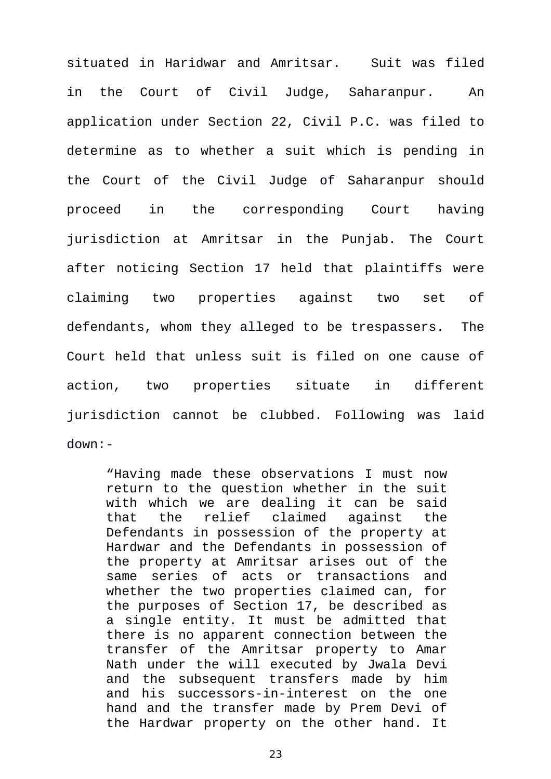situated in Haridwar and Amritsar. Suit was filed in the Court of Civil Judge, Saharanpur. An application under Section 22, Civil P.C. was filed to determine as to whether a suit which is pending in the Court of the Civil Judge of Saharanpur should proceed in the corresponding Court having jurisdiction at Amritsar in the Punjab. The Court after noticing Section 17 held that plaintiffs were claiming two properties against two set of defendants, whom they alleged to be trespassers. The Court held that unless suit is filed on one cause of action, two properties situate in different jurisdiction cannot be clubbed. Following was laid down:-

"Having made these observations I must now return to the question whether in the suit with which we are dealing it can be said that the relief claimed against the Defendants in possession of the property at Hardwar and the Defendants in possession of the property at Amritsar arises out of the same series of acts or transactions and whether the two properties claimed can, for the purposes of Section 17, be described as a single entity. It must be admitted that there is no apparent connection between the transfer of the Amritsar property to Amar Nath under the will executed by Jwala Devi and the subsequent transfers made by him and his successors-in-interest on the one hand and the transfer made by Prem Devi of the Hardwar property on the other hand. It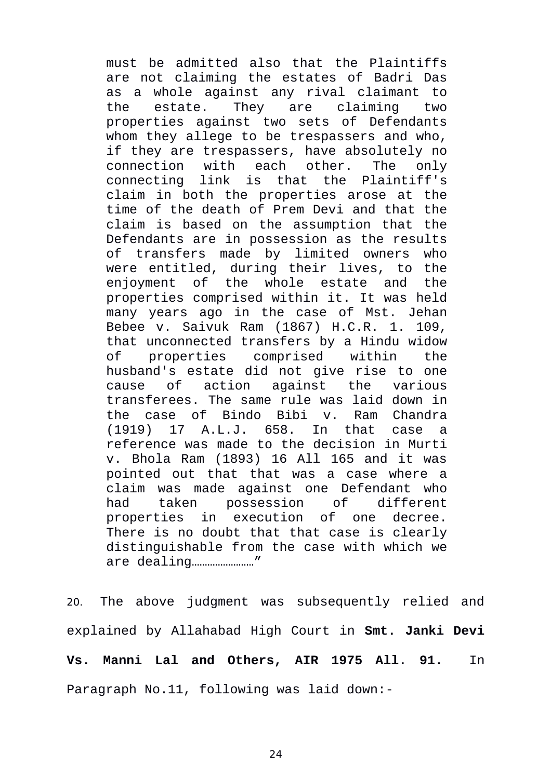must be admitted also that the Plaintiffs are not claiming the estates of Badri Das as a whole against any rival claimant to the estate. They are claiming two properties against two sets of Defendants whom they allege to be trespassers and who, if they are trespassers, have absolutely no connection with each other. The only connecting link is that the Plaintiff's claim in both the properties arose at the time of the death of Prem Devi and that the claim is based on the assumption that the Defendants are in possession as the results of transfers made by limited owners who were entitled, during their lives, to the enjoyment of the whole estate and the properties comprised within it. It was held many years ago in the case of Mst. Jehan Bebee v. Saivuk Ram (1867) H.C.R. 1. 109, that unconnected transfers by a Hindu widow of properties comprised within the husband's estate did not give rise to one cause of action against the various transferees. The same rule was laid down in the case of Bindo Bibi v. Ram Chandra (1919) 17 A.L.J. 658. In that case a reference was made to the decision in Murti v. Bhola Ram (1893) 16 All 165 and it was pointed out that that was a case where a claim was made against one Defendant who had taken possession of different properties in execution of one decree. There is no doubt that that case is clearly distinguishable from the case with which we are dealing……………………"

20. The above judgment was subsequently relied and explained by Allahabad High Court in **Smt. Janki Devi Vs. Manni Lal and Others, AIR 1975 All. 91.** In Paragraph No.11, following was laid down:-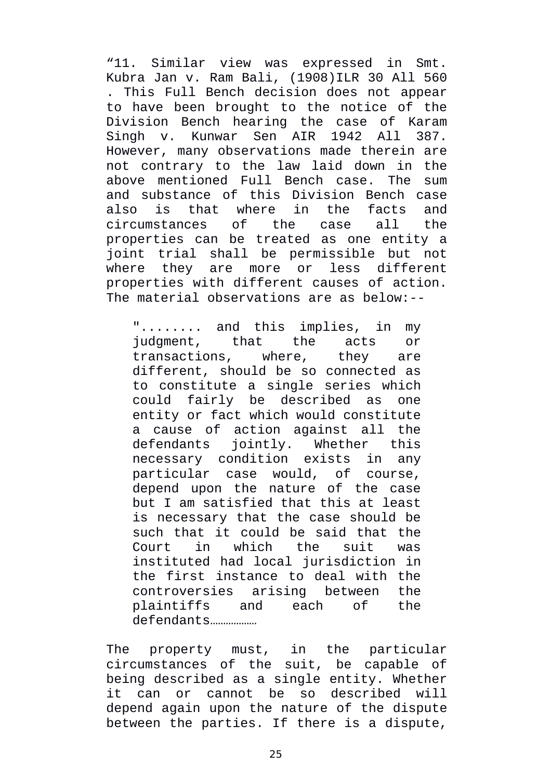"11. Similar view was expressed in Smt. Kubra Jan v. Ram Bali, (1908)ILR 30 All 560 . This Full Bench decision does not appear to have been brought to the notice of the Division Bench hearing the case of Karam Singh v. Kunwar Sen AIR 1942 All 387. However, many observations made therein are not contrary to the law laid down in the above mentioned Full Bench case. The sum and substance of this Division Bench case also is that where in the facts and circumstances of the case all the properties can be treated as one entity a joint trial shall be permissible but not where they are more or less different properties with different causes of action. The material observations are as below:--

"........ and this implies, in my judgment, that the acts or transactions, where, they are different, should be so connected as to constitute a single series which could fairly be described as one entity or fact which would constitute a cause of action against all the defendants jointly. Whether this necessary condition exists in any particular case would, of course, depend upon the nature of the case but I am satisfied that this at least is necessary that the case should be such that it could be said that the Court in which the suit was instituted had local jurisdiction in the first instance to deal with the controversies arising between the plaintiffs and each of the defendants………………

The property must, in the particular circumstances of the suit, be capable of being described as a single entity. Whether it can or cannot be so described will depend again upon the nature of the dispute between the parties. If there is a dispute,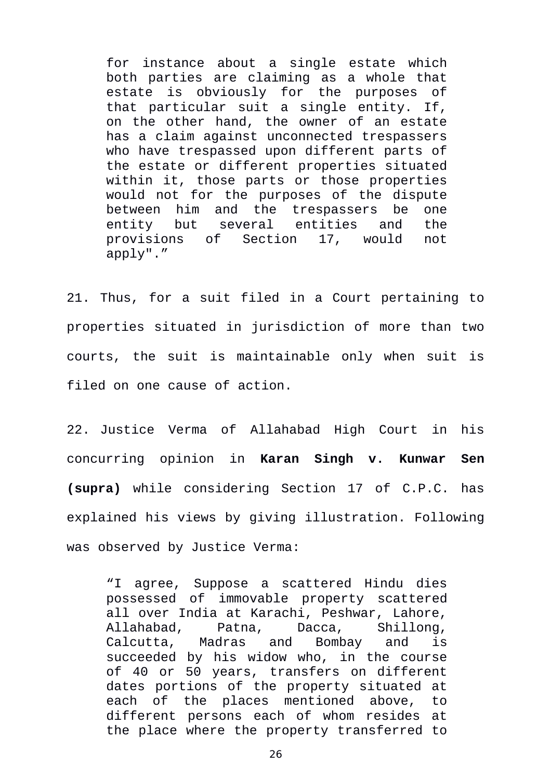for instance about a single estate which both parties are claiming as a whole that estate is obviously for the purposes of that particular suit a single entity. If, on the other hand, the owner of an estate has a claim against unconnected trespassers who have trespassed upon different parts of the estate or different properties situated within it, those parts or those properties would not for the purposes of the dispute between him and the trespassers be one entity but several entities and the provisions of Section 17, would not apply"."

21. Thus, for a suit filed in a Court pertaining to properties situated in jurisdiction of more than two courts, the suit is maintainable only when suit is filed on one cause of action.

22. Justice Verma of Allahabad High Court in his concurring opinion in **Karan Singh v. Kunwar Sen (supra)** while considering Section 17 of C.P.C. has explained his views by giving illustration. Following was observed by Justice Verma:

"I agree, Suppose a scattered Hindu dies possessed of immovable property scattered all over India at Karachi, Peshwar, Lahore, Allahabad, Patna, Dacca, Shillong, Calcutta, Madras and Bombay and is succeeded by his widow who, in the course of 40 or 50 years, transfers on different dates portions of the property situated at each of the places mentioned above, to different persons each of whom resides at the place where the property transferred to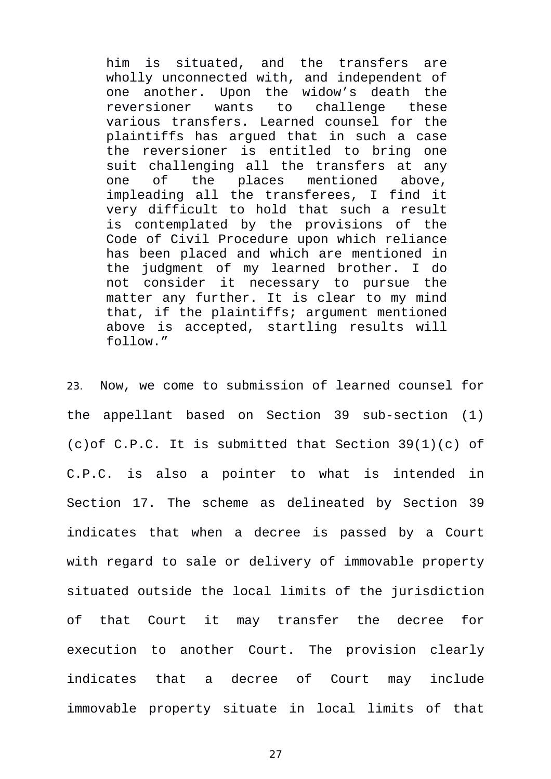him is situated, and the transfers are wholly unconnected with, and independent of one another. Upon the widow's death the reversioner wants to challenge these various transfers. Learned counsel for the plaintiffs has argued that in such a case the reversioner is entitled to bring one suit challenging all the transfers at any one of the places mentioned above, impleading all the transferees, I find it very difficult to hold that such a result is contemplated by the provisions of the Code of Civil Procedure upon which reliance has been placed and which are mentioned in the judgment of my learned brother. I do not consider it necessary to pursue the matter any further. It is clear to my mind that, if the plaintiffs; argument mentioned above is accepted, startling results will follow."

23. Now, we come to submission of learned counsel for the appellant based on Section 39 sub-section (1) (c)of C.P.C. It is submitted that Section 39(1)(c) of C.P.C. is also a pointer to what is intended in Section 17. The scheme as delineated by Section 39 indicates that when a decree is passed by a Court with regard to sale or delivery of immovable property situated outside the local limits of the jurisdiction of that Court it may transfer the decree for execution to another Court. The provision clearly indicates that a decree of Court may include immovable property situate in local limits of that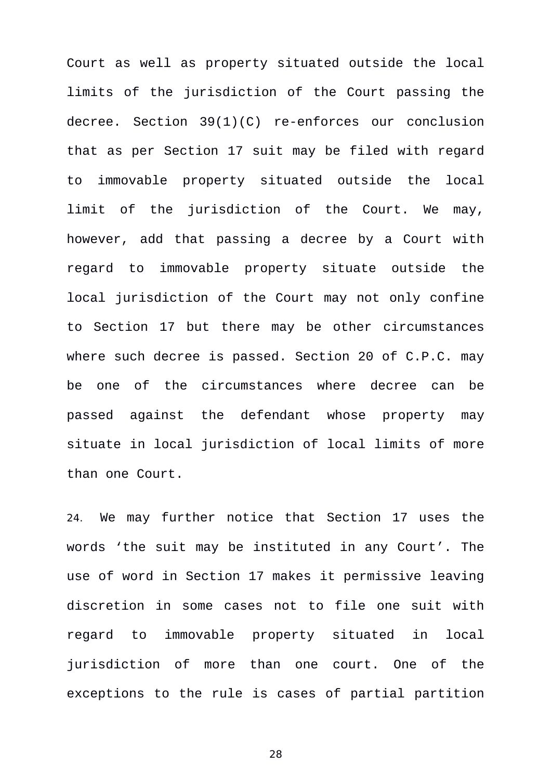Court as well as property situated outside the local limits of the jurisdiction of the Court passing the decree. Section 39(1)(C) re-enforces our conclusion that as per Section 17 suit may be filed with regard to immovable property situated outside the local limit of the jurisdiction of the Court. We may, however, add that passing a decree by a Court with regard to immovable property situate outside the local jurisdiction of the Court may not only confine to Section 17 but there may be other circumstances where such decree is passed. Section 20 of C.P.C. may be one of the circumstances where decree can be passed against the defendant whose property may situate in local jurisdiction of local limits of more than one Court.

24. We may further notice that Section 17 uses the words 'the suit may be instituted in any Court'. The use of word in Section 17 makes it permissive leaving discretion in some cases not to file one suit with regard to immovable property situated in local jurisdiction of more than one court. One of the exceptions to the rule is cases of partial partition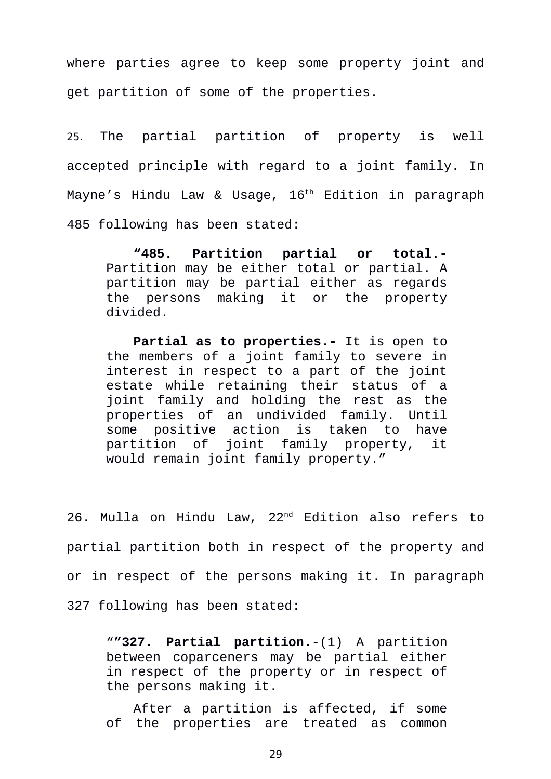where parties agree to keep some property joint and get partition of some of the properties.

25. The partial partition of property is well accepted principle with regard to a joint family. In Mayne's Hindu Law & Usage, 16<sup>th</sup> Edition in paragraph 485 following has been stated:

**"485. Partition partial or total.-** Partition may be either total or partial. A partition may be partial either as regards the persons making it or the property divided.

**Partial as to properties.-** It is open to the members of a joint family to severe in interest in respect to a part of the joint estate while retaining their status of a joint family and holding the rest as the properties of an undivided family. Until some positive action is taken to have partition of joint family property, it would remain joint family property."

26. Mulla on Hindu Law, 22nd Edition also refers to partial partition both in respect of the property and or in respect of the persons making it. In paragraph 327 following has been stated:

"**"327. Partial partition.-**(1) A partition between coparceners may be partial either in respect of the property or in respect of the persons making it.

After a partition is affected, if some of the properties are treated as common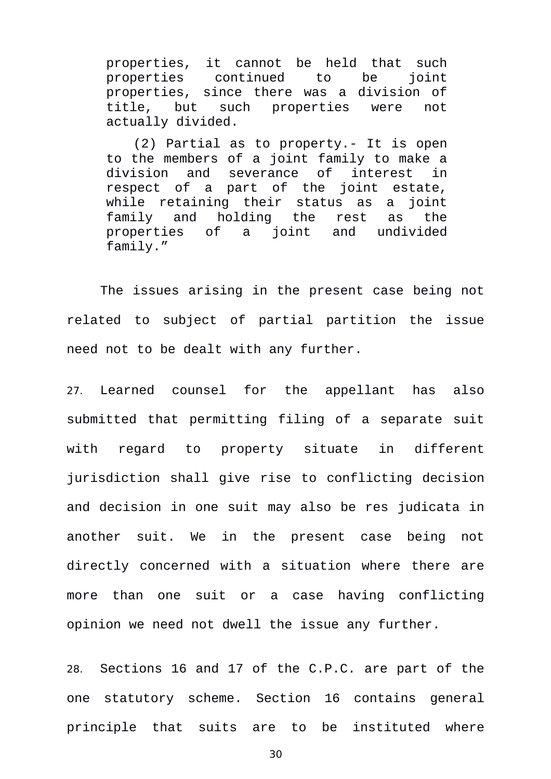properties, it cannot be held that such properties continued to be joint properties, since there was a division of title, but such properties were not actually divided.

(2) Partial as to property.- It is open to the members of a joint family to make a division and severance of interest in respect of a part of the joint estate, while retaining their status as a joint family and holding the rest as the properties of a joint and undivided family."

The issues arising in the present case being not related to subject of partial partition the issue need not to be dealt with any further.

27. Learned counsel for the appellant has also submitted that permitting filing of a separate suit with regard to property situate in different jurisdiction shall give rise to conflicting decision and decision in one suit may also be res judicata in another suit. We in the present case being not directly concerned with a situation where there are more than one suit or a case having conflicting opinion we need not dwell the issue any further.

28. Sections 16 and 17 of the C.P.C. are part of the one statutory scheme. Section 16 contains general principle that suits are to be instituted where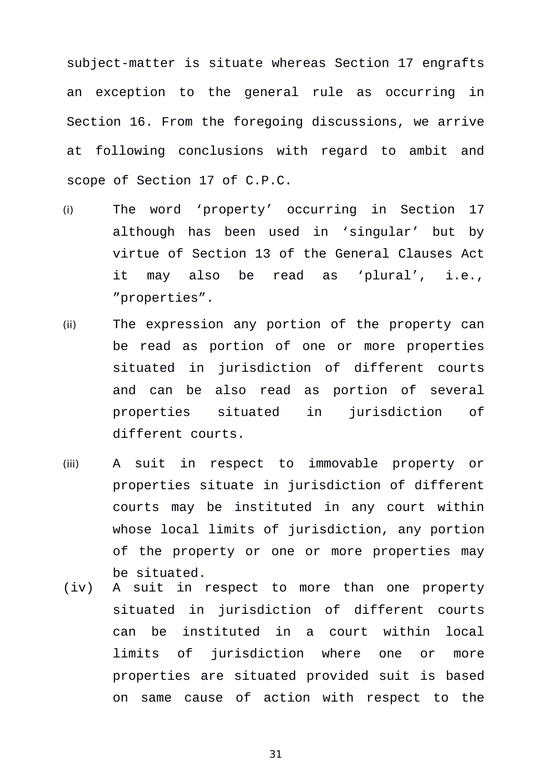subject-matter is situate whereas Section 17 engrafts an exception to the general rule as occurring in Section 16. From the foregoing discussions, we arrive at following conclusions with regard to ambit and scope of Section 17 of C.P.C.

- (i) The word 'property' occurring in Section 17 although has been used in 'singular' but by virtue of Section 13 of the General Clauses Act it may also be read as 'plural', i.e., "properties".
- (ii) The expression any portion of the property can be read as portion of one or more properties situated in jurisdiction of different courts and can be also read as portion of several properties situated in jurisdiction of different courts.
- (iii) A suit in respect to immovable property or properties situate in jurisdiction of different courts may be instituted in any court within whose local limits of jurisdiction, any portion of the property or one or more properties may be situated.
- (iv) A suit in respect to more than one property situated in jurisdiction of different courts can be instituted in a court within local limits of jurisdiction where one or more properties are situated provided suit is based on same cause of action with respect to the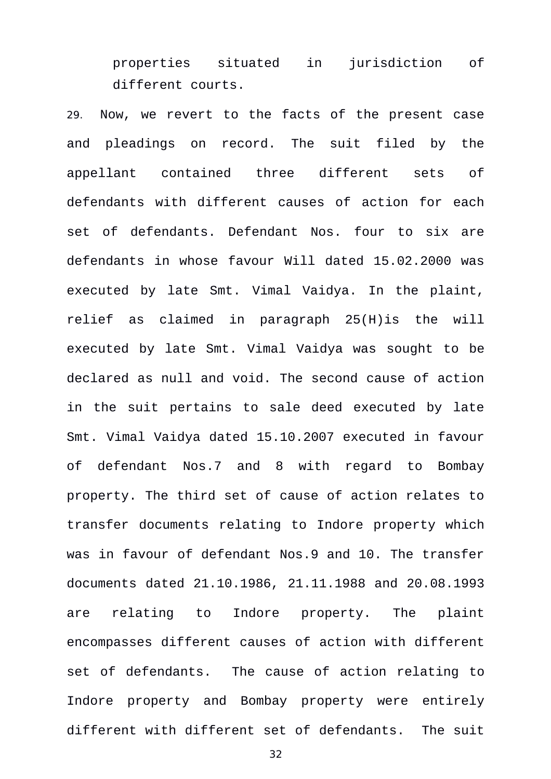properties situated in jurisdiction of different courts.

29. Now, we revert to the facts of the present case and pleadings on record. The suit filed by the appellant contained three different sets of defendants with different causes of action for each set of defendants. Defendant Nos. four to six are defendants in whose favour Will dated 15.02.2000 was executed by late Smt. Vimal Vaidya. In the plaint, relief as claimed in paragraph 25(H)is the will executed by late Smt. Vimal Vaidya was sought to be declared as null and void. The second cause of action in the suit pertains to sale deed executed by late Smt. Vimal Vaidya dated 15.10.2007 executed in favour of defendant Nos.7 and 8 with regard to Bombay property. The third set of cause of action relates to transfer documents relating to Indore property which was in favour of defendant Nos.9 and 10. The transfer documents dated 21.10.1986, 21.11.1988 and 20.08.1993 are relating to Indore property. The plaint encompasses different causes of action with different set of defendants. The cause of action relating to Indore property and Bombay property were entirely different with different set of defendants. The suit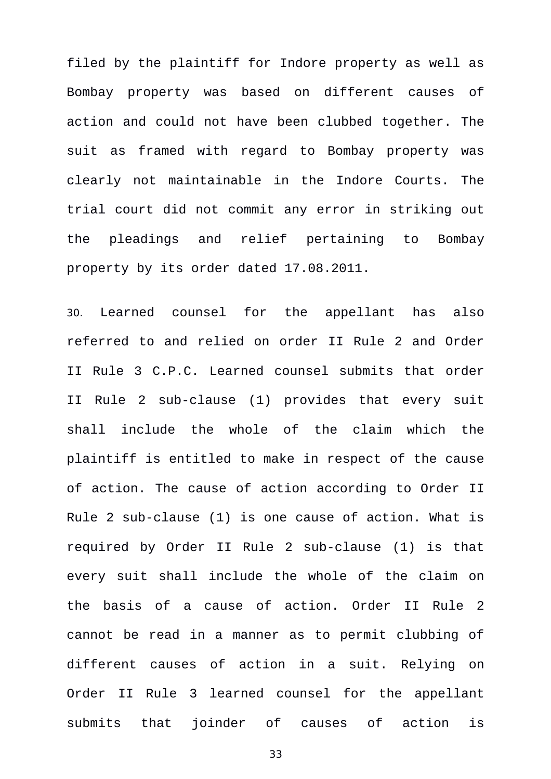filed by the plaintiff for Indore property as well as Bombay property was based on different causes of action and could not have been clubbed together. The suit as framed with regard to Bombay property was clearly not maintainable in the Indore Courts. The trial court did not commit any error in striking out the pleadings and relief pertaining to Bombay property by its order dated 17.08.2011.

30. Learned counsel for the appellant has also referred to and relied on order II Rule 2 and Order II Rule 3 C.P.C. Learned counsel submits that order II Rule 2 sub-clause (1) provides that every suit shall include the whole of the claim which the plaintiff is entitled to make in respect of the cause of action. The cause of action according to Order II Rule 2 sub-clause (1) is one cause of action. What is required by Order II Rule 2 sub-clause (1) is that every suit shall include the whole of the claim on the basis of a cause of action. Order II Rule 2 cannot be read in a manner as to permit clubbing of different causes of action in a suit. Relying on Order II Rule 3 learned counsel for the appellant submits that joinder of causes of action is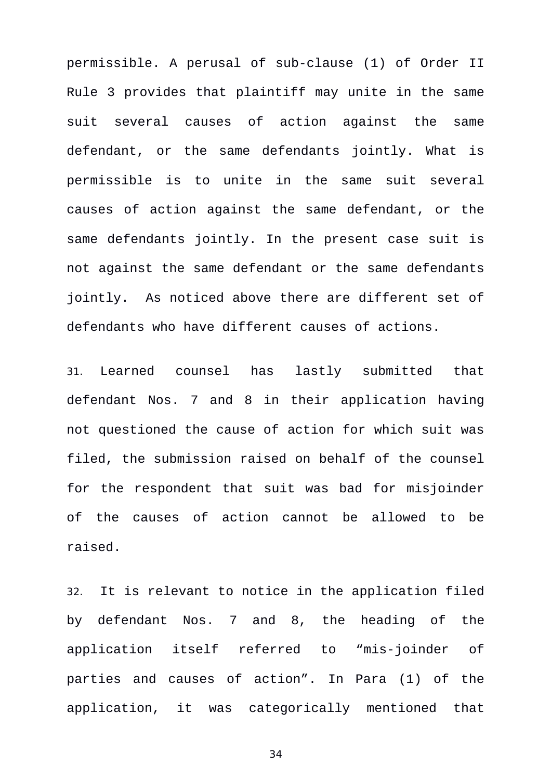permissible. A perusal of sub-clause (1) of Order II Rule 3 provides that plaintiff may unite in the same suit several causes of action against the same defendant, or the same defendants jointly. What is permissible is to unite in the same suit several causes of action against the same defendant, or the same defendants jointly. In the present case suit is not against the same defendant or the same defendants jointly. As noticed above there are different set of defendants who have different causes of actions.

31. Learned counsel has lastly submitted that defendant Nos. 7 and 8 in their application having not questioned the cause of action for which suit was filed, the submission raised on behalf of the counsel for the respondent that suit was bad for misjoinder of the causes of action cannot be allowed to be raised.

32. It is relevant to notice in the application filed by defendant Nos. 7 and 8, the heading of the application itself referred to "mis-joinder of parties and causes of action". In Para (1) of the application, it was categorically mentioned that